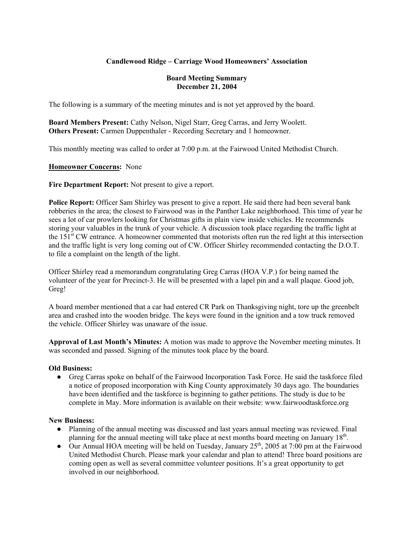## **Candlewood Ridge – Carriage Wood Homeowners' Association**

#### **Board Meeting Summary December 21, 2004**

The following is a summary of the meeting minutes and is not yet approved by the board.

**Board Members Present:** Cathy Nelson, Nigel Starr, Greg Carras, and Jerry Woolett. **Others Present:** Carmen Duppenthaler - Recording Secretary and 1 homeowner.

This monthly meeting was called to order at 7:00 p.m. at the Fairwood United Methodist Church.

### **Homeowner Concerns:** None

**Fire Department Report:** Not present to give a report.

**Police Report:** Officer Sam Shirley was present to give a report. He said there had been several bank robberies in the area; the closest to Fairwood was in the Panther Lake neighborhood. This time of year he sees a lot of car prowlers looking for Christmas gifts in plain view inside vehicles. He recommends storing your valuables in the trunk of your vehicle. A discussion took place regarding the traffic light at the 151st CW entrance. A homeowner commented that motorists often run the red light at this intersection and the traffic light is very long coming out of CW. Officer Shirley recommended contacting the D.O.T. to file a complaint on the length of the light.

Officer Shirley read a memorandum congratulating Greg Carras (HOA V.P.) for being named the volunteer of the year for Precinct-3. He will be presented with a lapel pin and a wall plaque. Good job, Greg!

A board member mentioned that a car had entered CR Park on Thanksgiving night, tore up the greenbelt area and crashed into the wooden bridge. The keys were found in the ignition and a tow truck removed the vehicle. Officer Shirley was unaware of the issue.

**Approval of Last Month's Minutes:** A motion was made to approve the November meeting minutes. It was seconded and passed. Signing of the minutes took place by the board.

#### **Old Business:**

● Greg Carras spoke on behalf of the Fairwood Incorporation Task Force. He said the taskforce filed a notice of proposed incorporation with King County approximately 30 days ago. The boundaries have been identified and the taskforce is beginning to gather petitions. The study is due to be complete in May. More information is available on their website: www.fairwoodtaskforce.org

#### **New Business:**

- Planning of the annual meeting was discussed and last years annual meeting was reviewed. Final planning for the annual meeting will take place at next months board meeting on January 18<sup>th</sup>.
- Our Annual HOA meeting will be held on Tuesday, January  $25<sup>th</sup>$ , 2005 at 7:00 pm at the Fairwood United Methodist Church. Please mark your calendar and plan to attend! Three board positions are coming open as well as several committee volunteer positions. It's a great opportunity to get involved in our neighborhood.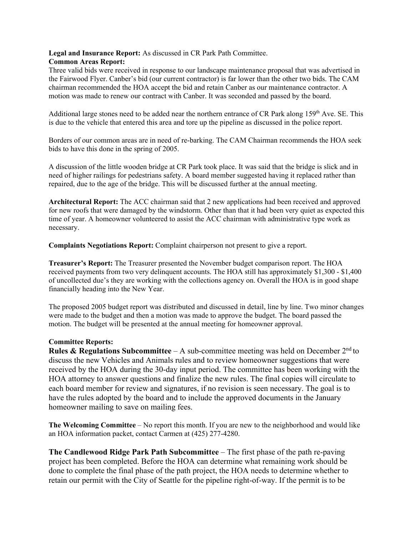#### **Legal and Insurance Report:** As discussed in CR Park Path Committee. **Common Areas Report:**

Three valid bids were received in response to our landscape maintenance proposal that was advertised in the Fairwood Flyer. Canber's bid (our current contractor) is far lower than the other two bids. The CAM chairman recommended the HOA accept the bid and retain Canber as our maintenance contractor. A motion was made to renew our contract with Canber. It was seconded and passed by the board.

Additional large stones need to be added near the northern entrance of CR Park along  $159<sup>th</sup>$  Ave. SE. This is due to the vehicle that entered this area and tore up the pipeline as discussed in the police report.

Borders of our common areas are in need of re-barking. The CAM Chairman recommends the HOA seek bids to have this done in the spring of 2005.

A discussion of the little wooden bridge at CR Park took place. It was said that the bridge is slick and in need of higher railings for pedestrians safety. A board member suggested having it replaced rather than repaired, due to the age of the bridge. This will be discussed further at the annual meeting.

**Architectural Report:** The ACC chairman said that 2 new applications had been received and approved for new roofs that were damaged by the windstorm. Other than that it had been very quiet as expected this time of year. A homeowner volunteered to assist the ACC chairman with administrative type work as necessary.

**Complaints Negotiations Report:** Complaint chairperson not present to give a report.

**Treasurer's Report:** The Treasurer presented the November budget comparison report. The HOA received payments from two very delinquent accounts. The HOA still has approximately \$1,300 - \$1,400 of uncollected due's they are working with the collections agency on. Overall the HOA is in good shape financially heading into the New Year.

The proposed 2005 budget report was distributed and discussed in detail, line by line. Two minor changes were made to the budget and then a motion was made to approve the budget. The board passed the motion. The budget will be presented at the annual meeting for homeowner approval.

#### **Committee Reports:**

**Rules & Regulations Subcommittee** – A sub-committee meeting was held on December  $2^{nd}$  to discuss the new Vehicles and Animals rules and to review homeowner suggestions that were received by the HOA during the 30-day input period. The committee has been working with the HOA attorney to answer questions and finalize the new rules. The final copies will circulate to each board member for review and signatures, if no revision is seen necessary. The goal is to have the rules adopted by the board and to include the approved documents in the January homeowner mailing to save on mailing fees.

**The Welcoming Committee** – No report this month. If you are new to the neighborhood and would like an HOA information packet, contact Carmen at (425) 277-4280.

**The Candlewood Ridge Park Path Subcommittee** – The first phase of the path re-paving project has been completed. Before the HOA can determine what remaining work should be done to complete the final phase of the path project, the HOA needs to determine whether to retain our permit with the City of Seattle for the pipeline right-of-way. If the permit is to be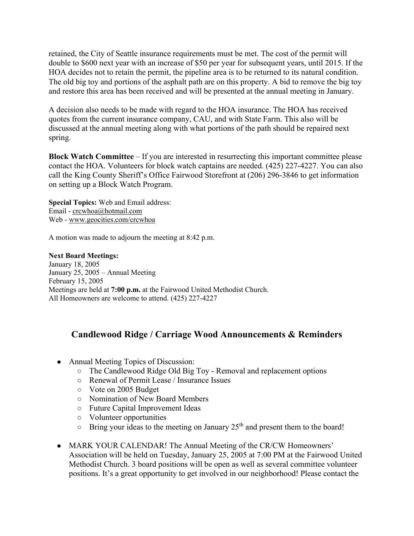retained, the City of Seattle insurance requirements must be met. The cost of the permit will double to \$600 next year with an increase of \$50 per year for subsequent years, until 2015. If the HOA decides not to retain the permit, the pipeline area is to be returned to its natural condition. The old big toy and portions of the asphalt path are on this property. A bid to remove the big toy and restore this area has been received and will be presented at the annual meeting in January.

A decision also needs to be made with regard to the HOA insurance. The HOA has received quotes from the current insurance company, CAU, and with State Farm. This also will be discussed at the annual meeting along with what portions of the path should be repaired next spring.

**Block Watch Committee** – If you are interested in resurrecting this important committee please contact the HOA. Volunteers for block watch captains are needed. (425) 227-4227. You can also call the King County Sheriff's Office Fairwood Storefront at (206) 296-3846 to get information on setting up a Block Watch Program.

**Special Topics:** Web and Email address: Email - crcwhoa@hotmail.com Web - www.geocities.com/crcwhoa

A motion was made to adjourn the meeting at 8:42 p.m.

**Next Board Meetings:** January 18, 2005 January 25, 2005 – Annual Meeting February 15, 2005 Meetings are held at **7:00 p.m.** at the Fairwood United Methodist Church. All Homeowners are welcome to attend. (425) 227-4227

# **Candlewood Ridge / Carriage Wood Announcements & Reminders**

- Annual Meeting Topics of Discussion:
	- The Candlewood Ridge Old Big Toy Removal and replacement options
	- Renewal of Permit Lease / Insurance Issues
	- Vote on 2005 Budget
	- Nomination of New Board Members
	- Future Capital Improvement Ideas
	- Volunteer opportunities
	- $\circ$  Bring your ideas to the meeting on January 25<sup>th</sup> and present them to the board!
- MARK YOUR CALENDAR! The Annual Meeting of the CR/CW Homeowners' Association will be held on Tuesday, January 25, 2005 at 7:00 PM at the Fairwood United Methodist Church. 3 board positions will be open as well as several committee volunteer positions. It's a great opportunity to get involved in our neighborhood! Please contact the